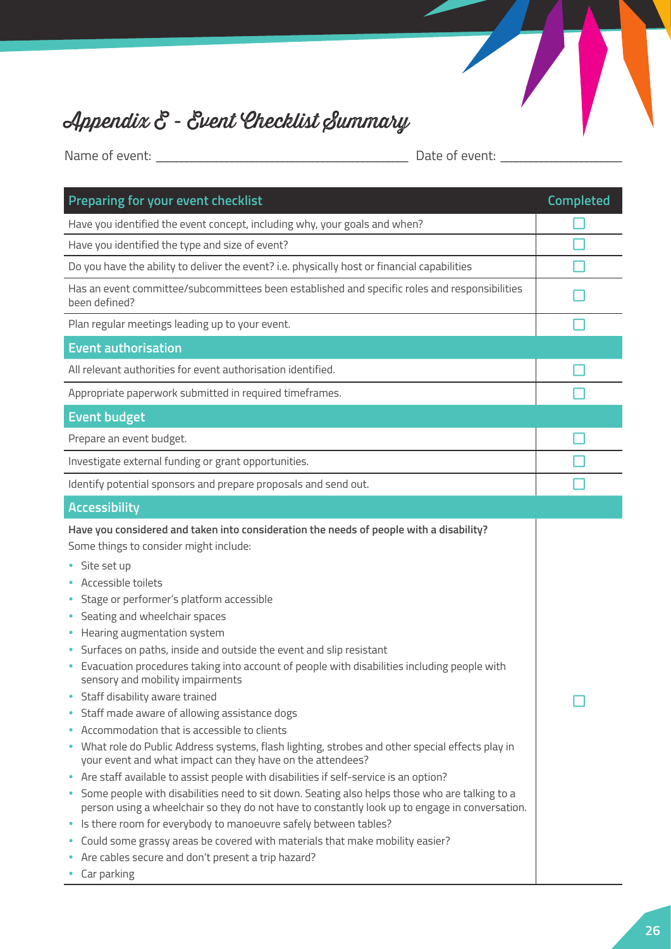

## Appendix E - Event Checklist Summary

Name of event: \_\_\_\_\_\_\_\_\_\_\_\_\_\_\_\_\_\_\_\_\_\_\_\_\_\_\_\_\_\_\_\_\_\_\_\_\_\_\_\_\_\_\_\_\_\_\_\_\_\_ Date of event: \_\_\_\_\_\_\_\_\_\_\_\_\_\_\_\_\_\_\_\_\_\_\_\_

| Preparing for your event checklist                                                                                                                                                                                                                                                                                                                                                                                                                                                                                                                                                                                                                                                                                                                                                                                                                                                                                                                                                                                                                                                                                                                                                                                                                                                                                       | <b>Completed</b> |
|--------------------------------------------------------------------------------------------------------------------------------------------------------------------------------------------------------------------------------------------------------------------------------------------------------------------------------------------------------------------------------------------------------------------------------------------------------------------------------------------------------------------------------------------------------------------------------------------------------------------------------------------------------------------------------------------------------------------------------------------------------------------------------------------------------------------------------------------------------------------------------------------------------------------------------------------------------------------------------------------------------------------------------------------------------------------------------------------------------------------------------------------------------------------------------------------------------------------------------------------------------------------------------------------------------------------------|------------------|
| Have you identified the event concept, including why, your goals and when?                                                                                                                                                                                                                                                                                                                                                                                                                                                                                                                                                                                                                                                                                                                                                                                                                                                                                                                                                                                                                                                                                                                                                                                                                                               |                  |
| Have you identified the type and size of event?                                                                                                                                                                                                                                                                                                                                                                                                                                                                                                                                                                                                                                                                                                                                                                                                                                                                                                                                                                                                                                                                                                                                                                                                                                                                          |                  |
| Do you have the ability to deliver the event? i.e. physically host or financial capabilities                                                                                                                                                                                                                                                                                                                                                                                                                                                                                                                                                                                                                                                                                                                                                                                                                                                                                                                                                                                                                                                                                                                                                                                                                             |                  |
| Has an event committee/subcommittees been established and specific roles and responsibilities<br>been defined?                                                                                                                                                                                                                                                                                                                                                                                                                                                                                                                                                                                                                                                                                                                                                                                                                                                                                                                                                                                                                                                                                                                                                                                                           |                  |
| Plan regular meetings leading up to your event.                                                                                                                                                                                                                                                                                                                                                                                                                                                                                                                                                                                                                                                                                                                                                                                                                                                                                                                                                                                                                                                                                                                                                                                                                                                                          |                  |
| <b>Event authorisation</b>                                                                                                                                                                                                                                                                                                                                                                                                                                                                                                                                                                                                                                                                                                                                                                                                                                                                                                                                                                                                                                                                                                                                                                                                                                                                                               |                  |
| All relevant authorities for event authorisation identified.                                                                                                                                                                                                                                                                                                                                                                                                                                                                                                                                                                                                                                                                                                                                                                                                                                                                                                                                                                                                                                                                                                                                                                                                                                                             |                  |
| Appropriate paperwork submitted in required timeframes.                                                                                                                                                                                                                                                                                                                                                                                                                                                                                                                                                                                                                                                                                                                                                                                                                                                                                                                                                                                                                                                                                                                                                                                                                                                                  |                  |
| <b>Event budget</b>                                                                                                                                                                                                                                                                                                                                                                                                                                                                                                                                                                                                                                                                                                                                                                                                                                                                                                                                                                                                                                                                                                                                                                                                                                                                                                      |                  |
| Prepare an event budget.                                                                                                                                                                                                                                                                                                                                                                                                                                                                                                                                                                                                                                                                                                                                                                                                                                                                                                                                                                                                                                                                                                                                                                                                                                                                                                 |                  |
| Investigate external funding or grant opportunities.                                                                                                                                                                                                                                                                                                                                                                                                                                                                                                                                                                                                                                                                                                                                                                                                                                                                                                                                                                                                                                                                                                                                                                                                                                                                     |                  |
| Identify potential sponsors and prepare proposals and send out.                                                                                                                                                                                                                                                                                                                                                                                                                                                                                                                                                                                                                                                                                                                                                                                                                                                                                                                                                                                                                                                                                                                                                                                                                                                          |                  |
| <b>Accessibility</b>                                                                                                                                                                                                                                                                                                                                                                                                                                                                                                                                                                                                                                                                                                                                                                                                                                                                                                                                                                                                                                                                                                                                                                                                                                                                                                     |                  |
| Have you considered and taken into consideration the needs of people with a disability?<br>Some things to consider might include:<br>• Site set up<br>Accessible toilets<br>• Stage or performer's platform accessible<br>• Seating and wheelchair spaces<br>• Hearing augmentation system<br>Surfaces on paths, inside and outside the event and slip resistant<br>Evacuation procedures taking into account of people with disabilities including people with<br>sensory and mobility impairments<br>Staff disability aware trained<br>• Staff made aware of allowing assistance dogs<br>• Accommodation that is accessible to clients<br>• What role do Public Address systems, flash lighting, strobes and other special effects play in<br>your event and what impact can they have on the attendees?<br>• Are staff available to assist people with disabilities if self-service is an option?<br>• Some people with disabilities need to sit down. Seating also helps those who are talking to a<br>person using a wheelchair so they do not have to constantly look up to engage in conversation.<br>• Is there room for everybody to manoeuvre safely between tables?<br>• Could some grassy areas be covered with materials that make mobility easier?<br>• Are cables secure and don't present a trip hazard? |                  |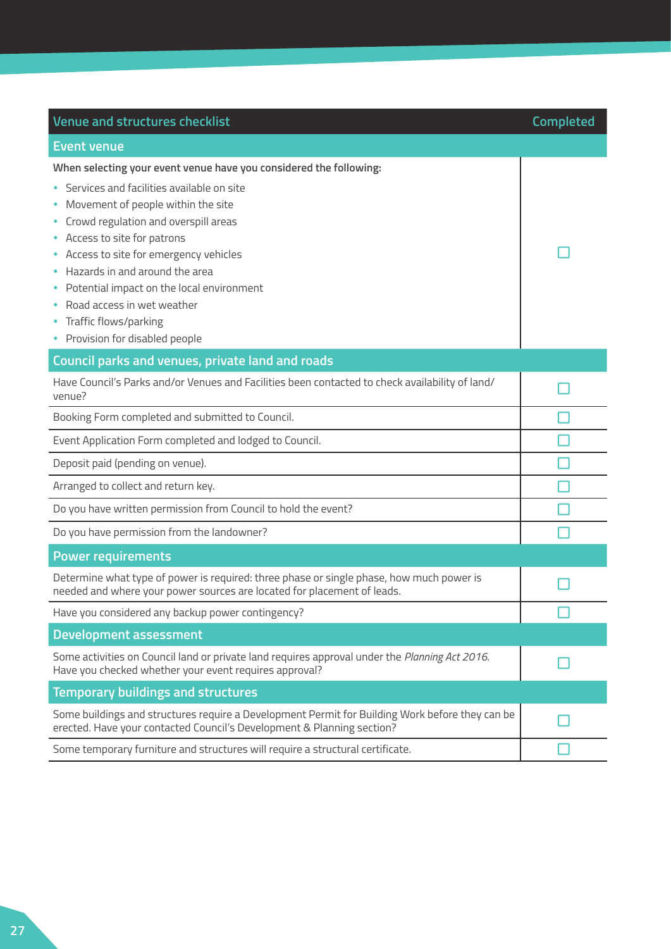| <b>Venue and structures checklist</b>                                                                                                                                                                                                                                                                                                                                                                                                             | <b>Completed</b> |
|---------------------------------------------------------------------------------------------------------------------------------------------------------------------------------------------------------------------------------------------------------------------------------------------------------------------------------------------------------------------------------------------------------------------------------------------------|------------------|
| <b>Event venue</b>                                                                                                                                                                                                                                                                                                                                                                                                                                |                  |
| When selecting your event venue have you considered the following:<br>• Services and facilities available on site<br>Movement of people within the site<br>Crowd regulation and overspill areas<br>Access to site for patrons<br>• Access to site for emergency vehicles<br>Hazards in and around the area<br>Potential impact on the local environment<br>Road access in wet weather<br>Traffic flows/parking<br>• Provision for disabled people |                  |
| Council parks and venues, private land and roads                                                                                                                                                                                                                                                                                                                                                                                                  |                  |
| Have Council's Parks and/or Venues and Facilities been contacted to check availability of land/<br>venue?                                                                                                                                                                                                                                                                                                                                         |                  |
| Booking Form completed and submitted to Council.                                                                                                                                                                                                                                                                                                                                                                                                  |                  |
| Event Application Form completed and lodged to Council.                                                                                                                                                                                                                                                                                                                                                                                           |                  |
| Deposit paid (pending on venue).                                                                                                                                                                                                                                                                                                                                                                                                                  |                  |
| Arranged to collect and return key.                                                                                                                                                                                                                                                                                                                                                                                                               |                  |
| Do you have written permission from Council to hold the event?                                                                                                                                                                                                                                                                                                                                                                                    |                  |
| Do you have permission from the landowner?                                                                                                                                                                                                                                                                                                                                                                                                        |                  |
| <b>Power requirements</b>                                                                                                                                                                                                                                                                                                                                                                                                                         |                  |
| Determine what type of power is required: three phase or single phase, how much power is<br>needed and where your power sources are located for placement of leads.                                                                                                                                                                                                                                                                               |                  |
| Have you considered any backup power contingency?                                                                                                                                                                                                                                                                                                                                                                                                 |                  |
| <b>Development assessment</b>                                                                                                                                                                                                                                                                                                                                                                                                                     |                  |
| Some activities on Council land or private land requires approval under the Planning Act 2016.<br>Have you checked whether your event requires approval?                                                                                                                                                                                                                                                                                          |                  |
| <b>Temporary buildings and structures</b>                                                                                                                                                                                                                                                                                                                                                                                                         |                  |
| Some buildings and structures require a Development Permit for Building Work before they can be<br>erected. Have your contacted Council's Development & Planning section?                                                                                                                                                                                                                                                                         |                  |
| Some temporary furniture and structures will require a structural certificate.                                                                                                                                                                                                                                                                                                                                                                    |                  |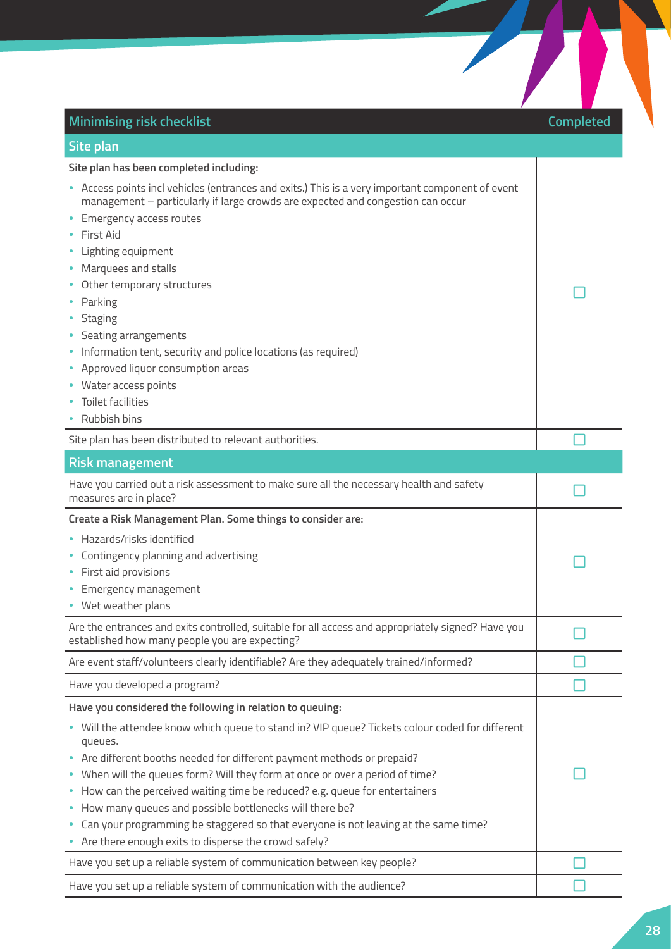| <b>Minimising risk checklist</b>                                                                                                                                                                                                                                                                                                                                                                                                                                                                                                                                                               | <b>Completed</b> |
|------------------------------------------------------------------------------------------------------------------------------------------------------------------------------------------------------------------------------------------------------------------------------------------------------------------------------------------------------------------------------------------------------------------------------------------------------------------------------------------------------------------------------------------------------------------------------------------------|------------------|
| Site plan                                                                                                                                                                                                                                                                                                                                                                                                                                                                                                                                                                                      |                  |
| Site plan has been completed including:<br>• Access points incl vehicles (entrances and exits.) This is a very important component of event<br>management - particularly if large crowds are expected and congestion can occur<br>• Emergency access routes<br><b>First Aid</b><br>• Lighting equipment<br>• Marquees and stalls<br>• Other temporary structures<br>Parking<br>• Staging<br>• Seating arrangements<br>• Information tent, security and police locations (as required)<br>• Approved liquor consumption areas<br>• Water access points<br>• Toilet facilities<br>• Rubbish bins |                  |
| Site plan has been distributed to relevant authorities.                                                                                                                                                                                                                                                                                                                                                                                                                                                                                                                                        |                  |
| <b>Risk management</b>                                                                                                                                                                                                                                                                                                                                                                                                                                                                                                                                                                         |                  |
| Have you carried out a risk assessment to make sure all the necessary health and safety<br>measures are in place?                                                                                                                                                                                                                                                                                                                                                                                                                                                                              |                  |
| Create a Risk Management Plan. Some things to consider are:<br>• Hazards/risks identified<br>Contingency planning and advertising<br>First aid provisions<br>Emergency management<br>• Wet weather plans                                                                                                                                                                                                                                                                                                                                                                                       |                  |
| Are the entrances and exits controlled, suitable for all access and appropriately signed? Have you<br>established how many people you are expecting?                                                                                                                                                                                                                                                                                                                                                                                                                                           |                  |
| Are event staff/volunteers clearly identifiable? Are they adequately trained/informed?                                                                                                                                                                                                                                                                                                                                                                                                                                                                                                         |                  |
| Have you developed a program?                                                                                                                                                                                                                                                                                                                                                                                                                                                                                                                                                                  |                  |
| Have you considered the following in relation to queuing:<br>. Will the attendee know which queue to stand in? VIP queue? Tickets colour coded for different<br>queues.<br>• Are different booths needed for different payment methods or prepaid?                                                                                                                                                                                                                                                                                                                                             |                  |
| • When will the queues form? Will they form at once or over a period of time?<br>• How can the perceived waiting time be reduced? e.g. queue for entertainers<br>• How many queues and possible bottlenecks will there be?<br>• Can your programming be staggered so that everyone is not leaving at the same time?<br>• Are there enough exits to disperse the crowd safely?                                                                                                                                                                                                                  |                  |

 $\sum_{i=1}^{n}$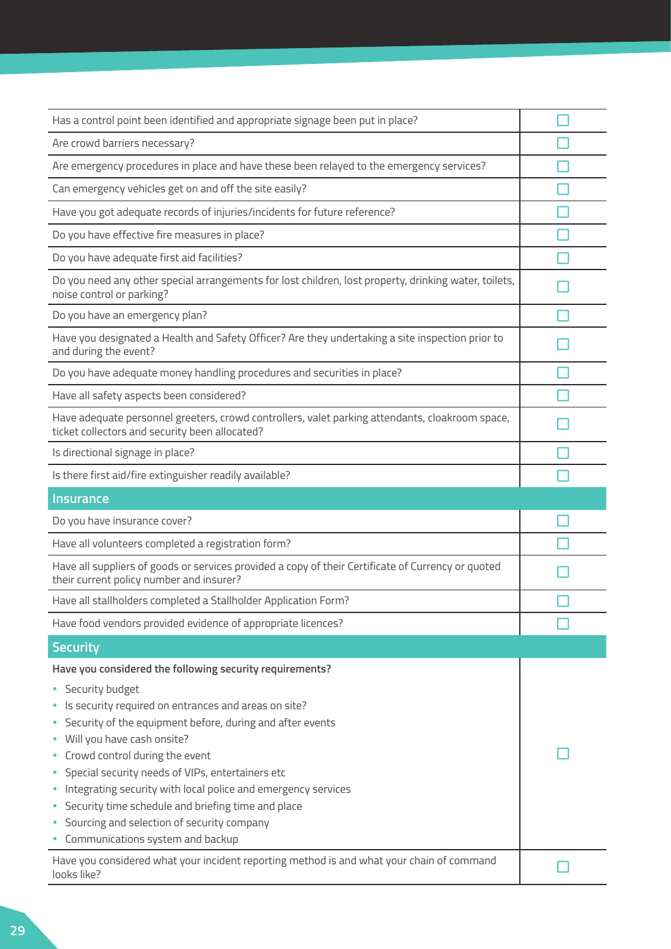| Has a control point been identified and appropriate signage been put in place?                                                                    |  |
|---------------------------------------------------------------------------------------------------------------------------------------------------|--|
| Are crowd barriers necessary?                                                                                                                     |  |
| Are emergency procedures in place and have these been relayed to the emergency services?                                                          |  |
| Can emergency vehicles get on and off the site easily?                                                                                            |  |
| Have you got adequate records of injuries/incidents for future reference?                                                                         |  |
| Do you have effective fire measures in place?                                                                                                     |  |
| Do you have adequate first aid facilities?                                                                                                        |  |
| Do you need any other special arrangements for lost children, lost property, drinking water, toilets,<br>noise control or parking?                |  |
| Do you have an emergency plan?                                                                                                                    |  |
| Have you designated a Health and Safety Officer? Are they undertaking a site inspection prior to<br>and during the event?                         |  |
| Do you have adequate money handling procedures and securities in place?                                                                           |  |
| Have all safety aspects been considered?                                                                                                          |  |
| Have adequate personnel greeters, crowd controllers, valet parking attendants, cloakroom space,<br>ticket collectors and security been allocated? |  |
| Is directional signage in place?                                                                                                                  |  |
| Is there first aid/fire extinguisher readily available?                                                                                           |  |
| <b>Insurance</b>                                                                                                                                  |  |
| Do you have insurance cover?                                                                                                                      |  |
| Have all volunteers completed a registration form?                                                                                                |  |
| Have all suppliers of goods or services provided a copy of their Certificate of Currency or quoted<br>their current policy number and insurer?    |  |
| Have all stallholders completed a Stallholder Application Form?                                                                                   |  |
| Have food vendors provided evidence of appropriate licences?                                                                                      |  |
| <b>Security</b>                                                                                                                                   |  |
| Have you considered the following security requirements?                                                                                          |  |
| • Security budget                                                                                                                                 |  |
| • Is security required on entrances and areas on site?<br>• Security of the equipment before, during and after events                             |  |
| • Will you have cash onsite?                                                                                                                      |  |
| Crowd control during the event                                                                                                                    |  |
| Special security needs of VIPs, entertainers etc                                                                                                  |  |
| Integrating security with local police and emergency services                                                                                     |  |
| Security time schedule and briefing time and place                                                                                                |  |
| • Sourcing and selection of security company                                                                                                      |  |
| • Communications system and backup                                                                                                                |  |
| Have you considered what your incident reporting method is and what your chain of command<br>looks like?                                          |  |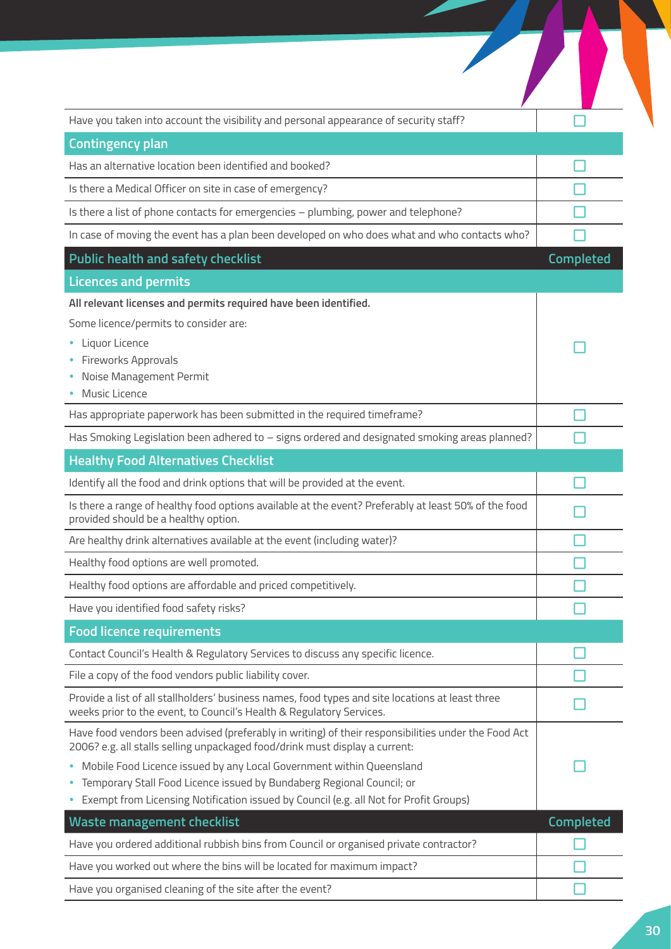| Have you taken into account the visibility and personal appearance of security staff?                                                                                              |                  |
|------------------------------------------------------------------------------------------------------------------------------------------------------------------------------------|------------------|
| <b>Contingency plan</b>                                                                                                                                                            |                  |
| Has an alternative location been identified and booked?                                                                                                                            |                  |
| Is there a Medical Officer on site in case of emergency?                                                                                                                           |                  |
| Is there a list of phone contacts for emergencies - plumbing, power and telephone?                                                                                                 |                  |
| In case of moving the event has a plan been developed on who does what and who contacts who?                                                                                       |                  |
| <b>Public health and safety checklist</b>                                                                                                                                          | Completed        |
| <b>Licences and permits</b>                                                                                                                                                        |                  |
| All relevant licenses and permits required have been identified.                                                                                                                   |                  |
| Some licence/permits to consider are:                                                                                                                                              |                  |
| Liquor Licence<br>Fireworks Approvals                                                                                                                                              |                  |
| Noise Management Permit                                                                                                                                                            |                  |
| Music Licence                                                                                                                                                                      |                  |
| Has appropriate paperwork has been submitted in the required timeframe?                                                                                                            |                  |
| Has Smoking Legislation been adhered to - signs ordered and designated smoking areas planned?                                                                                      |                  |
| <b>Healthy Food Alternatives Checklist</b>                                                                                                                                         |                  |
| Identify all the food and drink options that will be provided at the event.                                                                                                        |                  |
| Is there a range of healthy food options available at the event? Preferably at least 50% of the food<br>provided should be a healthy option.                                       |                  |
| Are healthy drink alternatives available at the event (including water)?                                                                                                           |                  |
| Healthy food options are well promoted.                                                                                                                                            |                  |
| Healthy food options are affordable and priced competitively.                                                                                                                      |                  |
| Have you identified food safety risks?                                                                                                                                             |                  |
| <b>Food licence requirements</b>                                                                                                                                                   |                  |
| Contact Council's Health & Regulatory Services to discuss any specific licence.                                                                                                    |                  |
| File a copy of the food vendors public liability cover.                                                                                                                            |                  |
| Provide a list of all stallholders' business names, food types and site locations at least three<br>weeks prior to the event, to Council's Health & Regulatory Services.           |                  |
| Have food vendors been advised (preferably in writing) of their responsibilities under the Food Act<br>2006? e.g. all stalls selling unpackaged food/drink must display a current: |                  |
| Mobile Food Licence issued by any Local Government within Queensland<br>۰                                                                                                          |                  |
| Temporary Stall Food Licence issued by Bundaberg Regional Council; or<br>Exempt from Licensing Notification issued by Council (e.g. all Not for Profit Groups)                     |                  |
| <b>Waste management checklist</b>                                                                                                                                                  | <b>Completed</b> |
| Have you ordered additional rubbish bins from Council or organised private contractor?                                                                                             |                  |
| Have you worked out where the bins will be located for maximum impact?                                                                                                             |                  |
| Have you organised cleaning of the site after the event?                                                                                                                           |                  |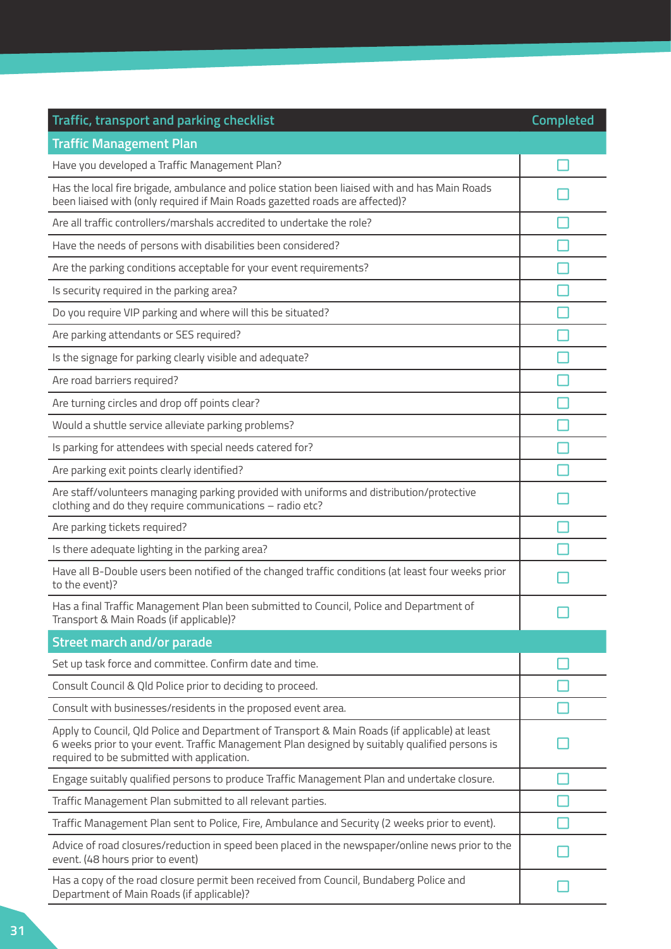| Traffic, transport and parking checklist                                                                                                                                                                                                       | Completed |
|------------------------------------------------------------------------------------------------------------------------------------------------------------------------------------------------------------------------------------------------|-----------|
| <b>Traffic Management Plan</b>                                                                                                                                                                                                                 |           |
| Have you developed a Traffic Management Plan?                                                                                                                                                                                                  |           |
| Has the local fire brigade, ambulance and police station been liaised with and has Main Roads<br>been liaised with (only required if Main Roads gazetted roads are affected)?                                                                  |           |
| Are all traffic controllers/marshals accredited to undertake the role?                                                                                                                                                                         |           |
| Have the needs of persons with disabilities been considered?                                                                                                                                                                                   |           |
| Are the parking conditions acceptable for your event requirements?                                                                                                                                                                             |           |
| Is security required in the parking area?                                                                                                                                                                                                      |           |
| Do you require VIP parking and where will this be situated?                                                                                                                                                                                    |           |
| Are parking attendants or SES required?                                                                                                                                                                                                        |           |
| Is the signage for parking clearly visible and adequate?                                                                                                                                                                                       |           |
| Are road barriers required?                                                                                                                                                                                                                    |           |
| Are turning circles and drop off points clear?                                                                                                                                                                                                 |           |
| Would a shuttle service alleviate parking problems?                                                                                                                                                                                            |           |
| Is parking for attendees with special needs catered for?                                                                                                                                                                                       |           |
| Are parking exit points clearly identified?                                                                                                                                                                                                    |           |
| Are staff/volunteers managing parking provided with uniforms and distribution/protective<br>clothing and do they require communications - radio etc?                                                                                           |           |
| Are parking tickets required?                                                                                                                                                                                                                  |           |
| Is there adequate lighting in the parking area?                                                                                                                                                                                                |           |
| Have all B-Double users been notified of the changed traffic conditions (at least four weeks prior<br>to the event)?                                                                                                                           |           |
| Has a final Traffic Management Plan been submitted to Council, Police and Department of<br>Transport & Main Roads (if applicable)?                                                                                                             |           |
| <b>Street march and/or parade</b>                                                                                                                                                                                                              |           |
| Set up task force and committee. Confirm date and time.                                                                                                                                                                                        |           |
| Consult Council & Qld Police prior to deciding to proceed.                                                                                                                                                                                     |           |
| Consult with businesses/residents in the proposed event area.                                                                                                                                                                                  |           |
| Apply to Council, Qld Police and Department of Transport & Main Roads (if applicable) at least<br>6 weeks prior to your event. Traffic Management Plan designed by suitably qualified persons is<br>required to be submitted with application. |           |
| Engage suitably qualified persons to produce Traffic Management Plan and undertake closure.                                                                                                                                                    |           |
| Traffic Management Plan submitted to all relevant parties.                                                                                                                                                                                     |           |
| Traffic Management Plan sent to Police, Fire, Ambulance and Security (2 weeks prior to event).                                                                                                                                                 |           |
| Advice of road closures/reduction in speed been placed in the newspaper/online news prior to the<br>event. (48 hours prior to event)                                                                                                           |           |
| Has a copy of the road closure permit been received from Council, Bundaberg Police and<br>Department of Main Roads (if applicable)?                                                                                                            |           |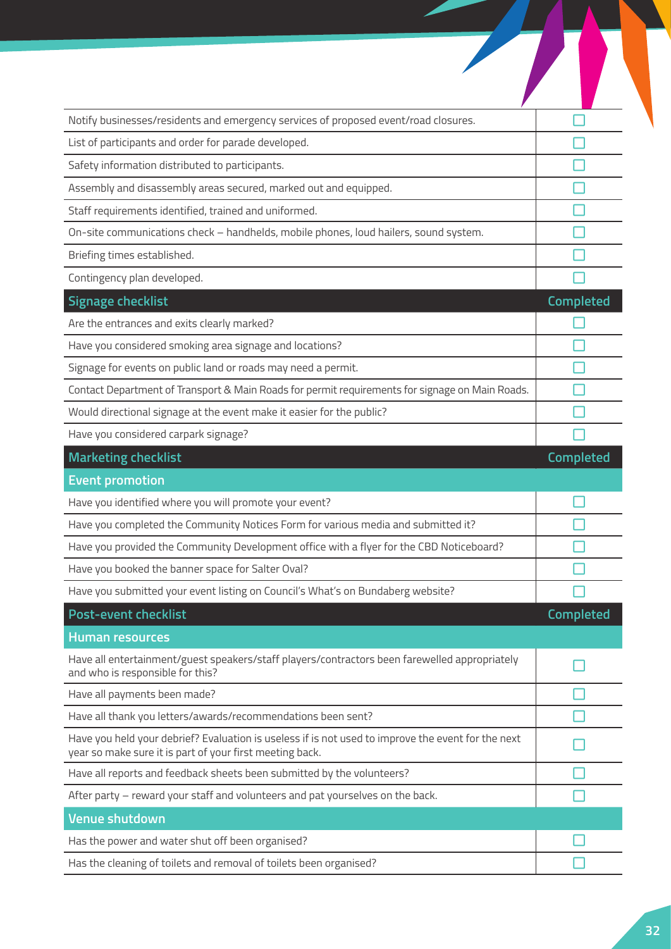| Notify businesses/residents and emergency services of proposed event/road closures.                                                                            |                  |
|----------------------------------------------------------------------------------------------------------------------------------------------------------------|------------------|
| List of participants and order for parade developed.                                                                                                           |                  |
| Safety information distributed to participants.                                                                                                                |                  |
| Assembly and disassembly areas secured, marked out and equipped.                                                                                               |                  |
| Staff requirements identified, trained and uniformed.                                                                                                          |                  |
| On-site communications check - handhelds, mobile phones, loud hailers, sound system.                                                                           |                  |
| Briefing times established.                                                                                                                                    |                  |
| Contingency plan developed.                                                                                                                                    |                  |
| <b>Signage checklist</b>                                                                                                                                       | Completed        |
| Are the entrances and exits clearly marked?                                                                                                                    |                  |
| Have you considered smoking area signage and locations?                                                                                                        |                  |
| Signage for events on public land or roads may need a permit.                                                                                                  |                  |
| Contact Department of Transport & Main Roads for permit requirements for signage on Main Roads.                                                                |                  |
| Would directional signage at the event make it easier for the public?                                                                                          |                  |
| Have you considered carpark signage?                                                                                                                           |                  |
| <b>Marketing checklist</b>                                                                                                                                     | <b>Completed</b> |
| <b>Event promotion</b>                                                                                                                                         |                  |
| Have you identified where you will promote your event?                                                                                                         |                  |
|                                                                                                                                                                |                  |
| Have you completed the Community Notices Form for various media and submitted it?                                                                              |                  |
| Have you provided the Community Development office with a flyer for the CBD Noticeboard?                                                                       |                  |
| Have you booked the banner space for Salter Oval?                                                                                                              |                  |
| Have you submitted your event listing on Council's What's on Bundaberg website?                                                                                |                  |
| <b>Post-event checklist</b>                                                                                                                                    | <b>Completed</b> |
| <b>Human resources</b>                                                                                                                                         |                  |
| Have all entertainment/guest speakers/staff players/contractors been farewelled appropriately<br>and who is responsible for this?                              |                  |
| Have all payments been made?                                                                                                                                   |                  |
| Have all thank you letters/awards/recommendations been sent?                                                                                                   |                  |
| Have you held your debrief? Evaluation is useless if is not used to improve the event for the next<br>year so make sure it is part of your first meeting back. |                  |
| Have all reports and feedback sheets been submitted by the volunteers?                                                                                         |                  |
| After party - reward your staff and volunteers and pat yourselves on the back.                                                                                 |                  |
| <b>Venue shutdown</b>                                                                                                                                          |                  |
| Has the power and water shut off been organised?                                                                                                               |                  |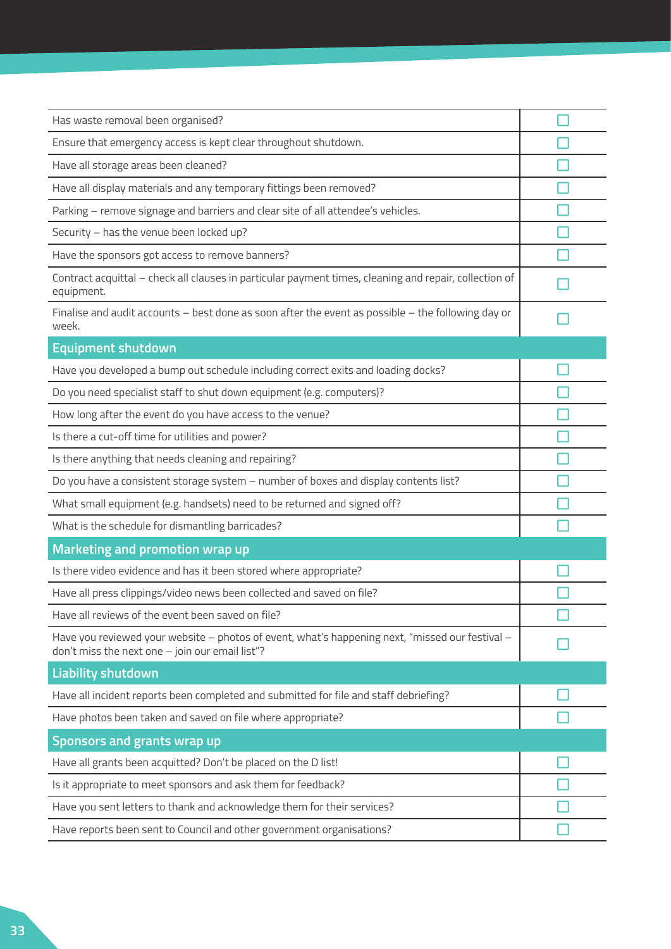| Has waste removal been organised?                                                                                                                  |  |
|----------------------------------------------------------------------------------------------------------------------------------------------------|--|
| Ensure that emergency access is kept clear throughout shutdown.                                                                                    |  |
| Have all storage areas been cleaned?                                                                                                               |  |
| Have all display materials and any temporary fittings been removed?                                                                                |  |
| Parking - remove signage and barriers and clear site of all attendee's vehicles.                                                                   |  |
| Security - has the venue been locked up?                                                                                                           |  |
| Have the sponsors got access to remove banners?                                                                                                    |  |
| Contract acquittal - check all clauses in particular payment times, cleaning and repair, collection of<br>equipment.                               |  |
| Finalise and audit accounts - best done as soon after the event as possible - the following day or<br>week.                                        |  |
| <b>Equipment shutdown</b>                                                                                                                          |  |
| Have you developed a bump out schedule including correct exits and loading docks?                                                                  |  |
| Do you need specialist staff to shut down equipment (e.g. computers)?                                                                              |  |
| How long after the event do you have access to the venue?                                                                                          |  |
| Is there a cut-off time for utilities and power?                                                                                                   |  |
| Is there anything that needs cleaning and repairing?                                                                                               |  |
| Do you have a consistent storage system - number of boxes and display contents list?                                                               |  |
| What small equipment (e.g. handsets) need to be returned and signed off?                                                                           |  |
| What is the schedule for dismantling barricades?                                                                                                   |  |
| Marketing and promotion wrap up                                                                                                                    |  |
| Is there video evidence and has it been stored where appropriate?                                                                                  |  |
| Have all press clippings/video news been collected and saved on file?                                                                              |  |
| Have all reviews of the event been saved on file?                                                                                                  |  |
| Have you reviewed your website - photos of event, what's happening next, "missed our festival -<br>don't miss the next one - join our email list"? |  |
| <b>Liability shutdown</b>                                                                                                                          |  |
| Have all incident reports been completed and submitted for file and staff debriefing?                                                              |  |
| Have photos been taken and saved on file where appropriate?                                                                                        |  |
| Sponsors and grants wrap up                                                                                                                        |  |
| Have all grants been acquitted? Don't be placed on the D list!                                                                                     |  |
| Is it appropriate to meet sponsors and ask them for feedback?                                                                                      |  |
| Have you sent letters to thank and acknowledge them for their services?                                                                            |  |
| Have reports been sent to Council and other government organisations?                                                                              |  |